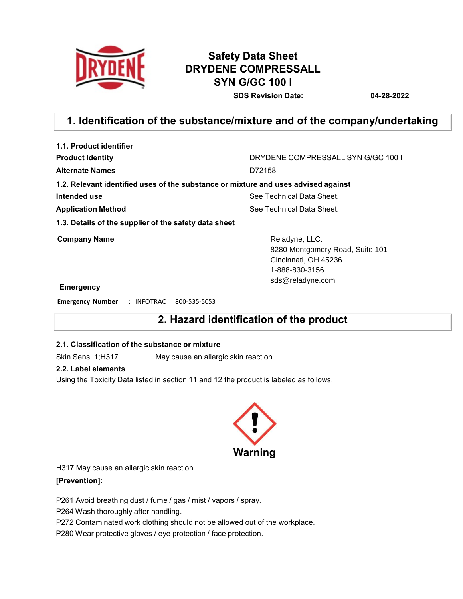

# **Safety Data Sheet DRYDENE COMPRESSALL SYN G/GC 100 I**

**SDS Revision Date: 04-28-2022**

## **1. Identification of the substance/mixture and of the company/undertaking**

| 1.1. Product identifier                                                            |                                                                                                                 |
|------------------------------------------------------------------------------------|-----------------------------------------------------------------------------------------------------------------|
| <b>Product Identity</b>                                                            | DRYDENE COMPRESSALL SYN G/GC 100 L                                                                              |
| <b>Alternate Names</b>                                                             | D72158                                                                                                          |
| 1.2. Relevant identified uses of the substance or mixture and uses advised against |                                                                                                                 |
| Intended use                                                                       | See Technical Data Sheet.                                                                                       |
| <b>Application Method</b>                                                          | See Technical Data Sheet.                                                                                       |
| 1.3. Details of the supplier of the safety data sheet                              |                                                                                                                 |
| <b>Company Name</b><br><b>Emergency</b>                                            | Reladyne, LLC.<br>8280 Montgomery Road, Suite 101<br>Cincinnati, OH 45236<br>1-888-830-3156<br>sds@reladyne.com |
|                                                                                    |                                                                                                                 |

**Emergency Number** : INFOTRAC 800-535-5053

## **2. Hazard identification of the product**

### **2.1. Classification of the substance or mixture**

Skin Sens. 1;H317 May cause an allergic skin reaction.

### **2.2. Label elements**

Using the Toxicity Data listed in section 11 and 12 the product is labeled as follows.



H317 May cause an allergic skin reaction.

### **[Prevention]:**

P261 Avoid breathing dust / fume / gas / mist / vapors / spray.

P264 Wash thoroughly after handling.

P272 Contaminated work clothing should not be allowed out of the workplace.

P280 Wear protective gloves / eye protection / face protection.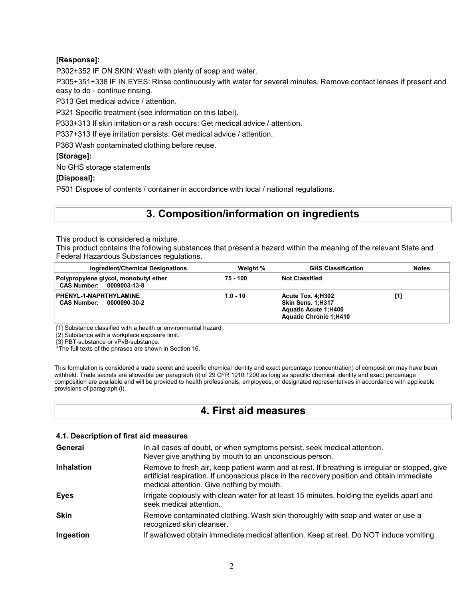### **[Response]:**

P302+352 IF ON SKIN: Wash with plenty of soap and water.

P305+351+338 IF IN EYES: Rinse continuously with water for several minutes. Remove contact lenses if present and easy to do - continue rinsing.

P313 Get medical advice / attention.

P321 Specific treatment (see information on this label).

P333+313 If skin irritation or a rash occurs: Get medical advice / attention.

P337+313 If eye irritation persists: Get medical advice / attention.

P363 Wash contaminated clothing before reuse.

### **[Storage]:**

No GHS storage statements

### **[Disposal]:**

P501 Dispose of contents / container in accordance with local / national regulations.

# **3. Composition/information on ingredients**

This product is considered a mixture.

This product contains the following substances that present a hazard within the meaning of the relevant State and Federal Hazardous Substances regulations.

| Ingredient/Chemical Designations                                  | Weight %   | <b>GHS Classification</b>                                                                       | <b>Notes</b> |
|-------------------------------------------------------------------|------------|-------------------------------------------------------------------------------------------------|--------------|
| Polypropylene glycol, monobutyl ether<br>CAS Number: 0009003-13-8 | 75 - 100   | ∣ Not Classified                                                                                |              |
| PHENYL-1-NAPHTHYLAMINE<br><b>CAS Number:</b><br>0000090-30-2      | $1.0 - 10$ | Acute Tox. 4:H302<br>Skin Sens. 1:H317<br>Aquatic Acute 1;H400<br><b>Aquatic Chronic 1:H410</b> | [1]          |

[1] Substance classified with a health or environmental hazard.

[2] Substance with a workplace exposure limit.

[3] PBT-substance or vPvB-substance.

\*The full texts of the phrases are shown in Section 16.

This formulation is considered a trade secret and specific chemical identity and exact percentage (concentration) of composition may have been withheld. Trade secrets are allowable per paragraph (i) of 29 CFR 1910.1200 as long as specific chemical identity and exact percentage composition are available and will be provided to health professionals, employees, or designated representatives in accordance with applicable provisions of paragraph (i).

## **4. First aid measures**

### **4.1. Description of first aid measures**

| General           | In all cases of doubt, or when symptoms persist, seek medical attention.<br>Never give anything by mouth to an unconscious person.                                                                                                        |
|-------------------|-------------------------------------------------------------------------------------------------------------------------------------------------------------------------------------------------------------------------------------------|
| <b>Inhalation</b> | Remove to fresh air, keep patient warm and at rest. If breathing is irregular or stopped, give<br>artificial respiration. If unconscious place in the recovery position and obtain immediate<br>medical attention. Give nothing by mouth. |
| <b>Eyes</b>       | Irrigate copiously with clean water for at least 15 minutes, holding the eyelids apart and<br>seek medical attention.                                                                                                                     |
| <b>Skin</b>       | Remove contaminated clothing. Wash skin thoroughly with soap and water or use a<br>recognized skin cleanser.                                                                                                                              |
| Ingestion         | If swallowed obtain immediate medical attention. Keep at rest. Do NOT induce vomiting.                                                                                                                                                    |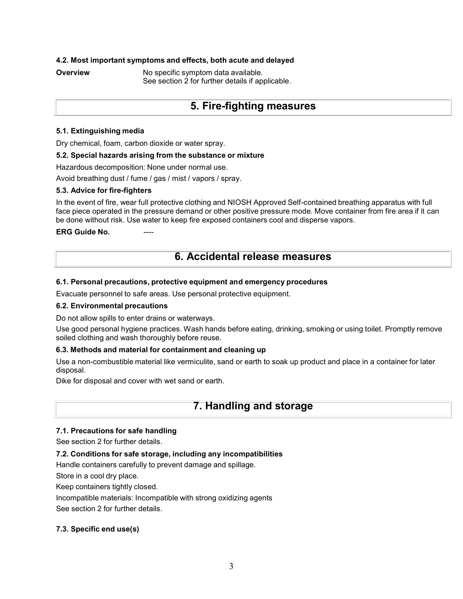### **4.2. Most important symptoms and effects, both acute and delayed**

**Overview • No specific symptom data available.** See section 2 for further details if applicable.

## **5. Fire-fighting measures**

### **5.1. Extinguishing media**

Dry chemical, foam, carbon dioxide or water spray.

### **5.2. Special hazards arising from the substance or mixture**

Hazardous decomposition: None under normal use.

Avoid breathing dust / fume / gas / mist / vapors / spray.

### **5.3. Advice for fire-fighters**

In the event of fire, wear full protective clothing and NIOSH Approved Self-contained breathing apparatus with full face piece operated in the pressure demand or other positive pressure mode. Move container from fire area if it can be done without risk. Use water to keep fire exposed containers cool and disperse vapors.

**ERG** Guide No.

## **6. Accidental release measures**

### **6.1. Personal precautions, protective equipment and emergency procedures**

Evacuate personnel to safe areas. Use personal protective equipment.

### **6.2. Environmental precautions**

Do not allow spills to enter drains or waterways.

Use good personal hygiene practices. Wash hands before eating, drinking, smoking or using toilet. Promptly remove soiled clothing and wash thoroughly before reuse.

### **6.3. Methods and material for containment and cleaning up**

Use a non-combustible material like vermiculite, sand or earth to soak up product and place in a container for later disposal.

Dike for disposal and cover with wet sand or earth.

### **7. Handling and storage**

### **7.1. Precautions for safe handling**

See section 2 for further details.

### **7.2. Conditions for safe storage, including any incompatibilities**

Handle containers carefully to prevent damage and spillage.

Store in a cool dry place.

Keep containers tightly closed.

Incompatible materials: Incompatible with strong oxidizing agents

See section 2 for further details.

### **7.3. Specific end use(s)**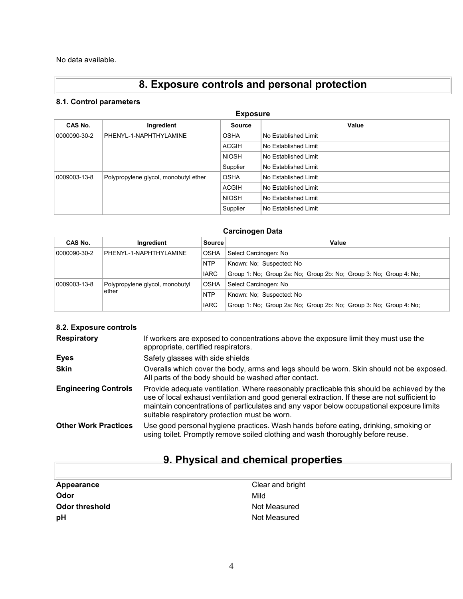No data available.

# **8. Exposure controls and personal protection**

### **8.1. Control parameters**

| <b>Exposure</b> |                                       |               |                      |  |  |
|-----------------|---------------------------------------|---------------|----------------------|--|--|
| CAS No.         | Ingredient                            | <b>Source</b> | Value                |  |  |
| 0000090-30-2    | PHENYL-1-NAPHTHYLAMINE                | <b>OSHA</b>   | No Established Limit |  |  |
|                 |                                       | <b>ACGIH</b>  | No Established Limit |  |  |
|                 |                                       | <b>NIOSH</b>  | No Established Limit |  |  |
|                 |                                       | Supplier      | No Established Limit |  |  |
| 0009003-13-8    | Polypropylene glycol, monobutyl ether | <b>OSHA</b>   | No Established Limit |  |  |
|                 |                                       | <b>ACGIH</b>  | No Established Limit |  |  |
|                 |                                       | <b>NIOSH</b>  | No Established Limit |  |  |
|                 |                                       | Supplier      | No Established Limit |  |  |

### **Carcinogen Data**

| CAS No.      | Ingredient                      | <b>Source</b> | Value                                                              |
|--------------|---------------------------------|---------------|--------------------------------------------------------------------|
| 0000090-30-2 | PHENYL-1-NAPHTHYLAMINE          | <b>OSHA</b>   | Select Carcinogen: No                                              |
|              |                                 | <b>NTP</b>    | Known: No: Suspected: No                                           |
|              |                                 | <b>IARC</b>   | Group 1: No; Group 2a: No; Group 2b: No; Group 3: No; Group 4: No; |
| 0009003-13-8 | Polypropylene glycol, monobutyl | <b>OSHA</b>   | Select Carcinogen: No                                              |
|              | ether                           | <b>NTP</b>    | Known: No: Suspected: No                                           |
|              |                                 | <b>IARC</b>   | Group 1: No; Group 2a: No; Group 2b: No; Group 3: No; Group 4: No; |

### **8.2. Exposure controls**

| <b>Respiratory</b>          | If workers are exposed to concentrations above the exposure limit they must use the<br>appropriate, certified respirators.                                                                                                                                                                                                             |
|-----------------------------|----------------------------------------------------------------------------------------------------------------------------------------------------------------------------------------------------------------------------------------------------------------------------------------------------------------------------------------|
| Eyes                        | Safety glasses with side shields                                                                                                                                                                                                                                                                                                       |
| <b>Skin</b>                 | Overalls which cover the body, arms and legs should be worn. Skin should not be exposed.<br>All parts of the body should be washed after contact.                                                                                                                                                                                      |
| <b>Engineering Controls</b> | Provide adequate ventilation. Where reasonably practicable this should be achieved by the<br>use of local exhaust ventilation and good general extraction. If these are not sufficient to<br>maintain concentrations of particulates and any vapor below occupational exposure limits<br>suitable respiratory protection must be worn. |
| <b>Other Work Practices</b> | Use good personal hygiene practices. Wash hands before eating, drinking, smoking or<br>using toilet. Promptly remove soiled clothing and wash thoroughly before reuse.                                                                                                                                                                 |

# **9. Physical and chemical properties**

| Appearance            | Clear and bright |
|-----------------------|------------------|
| Odor                  | Mild             |
| <b>Odor threshold</b> | Not Measured     |
| рH                    | Not Measured     |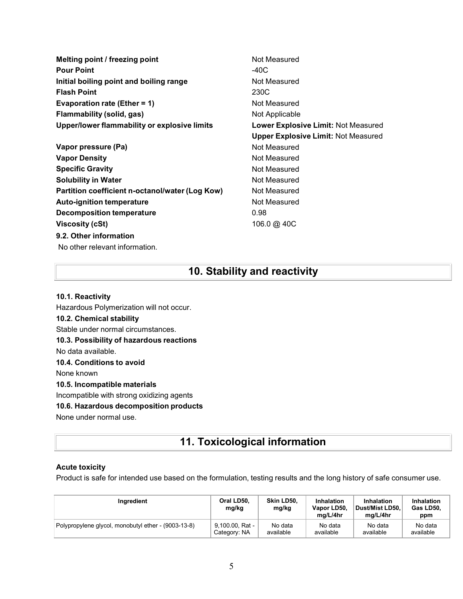| Melting point / freezing point                  | Not Measured                               |
|-------------------------------------------------|--------------------------------------------|
| <b>Pour Point</b>                               | -40C                                       |
| Initial boiling point and boiling range         | Not Measured                               |
| <b>Flash Point</b>                              | 230C                                       |
| Evaporation rate (Ether = 1)                    | Not Measured                               |
| Flammability (solid, gas)                       | Not Applicable                             |
| Upper/lower flammability or explosive limits    | <b>Lower Explosive Limit: Not Measured</b> |
|                                                 | <b>Upper Explosive Limit: Not Measured</b> |
| Vapor pressure (Pa)                             | Not Measured                               |
| <b>Vapor Density</b>                            | Not Measured                               |
| <b>Specific Gravity</b>                         | Not Measured                               |
| <b>Solubility in Water</b>                      | Not Measured                               |
| Partition coefficient n-octanol/water (Log Kow) | Not Measured                               |
| <b>Auto-ignition temperature</b>                | Not Measured                               |
| Decomposition temperature                       | 0.98                                       |
| Viscosity (cSt)                                 | 106.0 @ 40C                                |
| 9.2. Other information                          |                                            |
| No other relevant information.                  |                                            |

# **10. Stability and reactivity**

### **10.1. Reactivity**

Hazardous Polymerization will not occur. **10.2. Chemical stability** Stable under normal circumstances. **10.3. Possibility of hazardous reactions** No data available. **10.4. Conditions to avoid** None known **10.5. Incompatible materials** Incompatible with strong oxidizing agents **10.6. Hazardous decomposition products** None under normal use.

# **11. Toxicological information**

### **Acute toxicity**

Product is safe for intended use based on the formulation, testing results and the long history of safe consumer use.

| Inaredient                                          | Oral LD50.<br>mg/kg | Skin LD50.<br>mg/kg | Inhalation<br>Vapor LD50,<br>ma/L/4hr | Inhalation<br>Dust/Mist LD50.<br>ma/L/4hr | <b>Inhalation</b><br>Gas LD50,<br>ppm |
|-----------------------------------------------------|---------------------|---------------------|---------------------------------------|-------------------------------------------|---------------------------------------|
| Polypropylene glycol, monobutyl ether - (9003-13-8) | 9.100.00. Rat -     | No data             | No data                               | No data                                   | No data                               |
|                                                     | Category: NA        | available           | available                             | available                                 | available                             |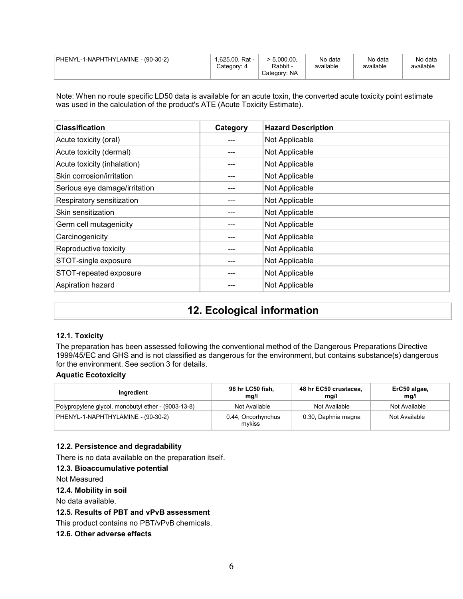| PHENYL-1-NAPHTHYLAMINE - (90-30-2) | $1.625.00$ . Rat -<br>Category: 4 | .5.000.00.<br>Rabbit -<br>Category: NA | No data<br>available | No data<br>available | No data<br>available |
|------------------------------------|-----------------------------------|----------------------------------------|----------------------|----------------------|----------------------|
|------------------------------------|-----------------------------------|----------------------------------------|----------------------|----------------------|----------------------|

Note: When no route specific LD50 data is available for an acute toxin, the converted acute toxicity point estimate was used in the calculation of the product's ATE (Acute Toxicity Estimate).

| <b>Classification</b>         | Category | <b>Hazard Description</b> |
|-------------------------------|----------|---------------------------|
| Acute toxicity (oral)         |          | Not Applicable            |
| Acute toxicity (dermal)       |          | Not Applicable            |
| Acute toxicity (inhalation)   |          | Not Applicable            |
| Skin corrosion/irritation     |          | Not Applicable            |
| Serious eye damage/irritation |          | Not Applicable            |
| Respiratory sensitization     |          | Not Applicable            |
| Skin sensitization            |          | Not Applicable            |
| Germ cell mutagenicity        |          | Not Applicable            |
| Carcinogenicity               |          | Not Applicable            |
| Reproductive toxicity         |          | Not Applicable            |
| STOT-single exposure          |          | Not Applicable            |
| STOT-repeated exposure        |          | Not Applicable            |
| Aspiration hazard             |          | Not Applicable            |

# **12. Ecological information**

### **12.1. Toxicity**

The preparation has been assessed following the conventional method of the Dangerous Preparations Directive 1999/45/EC and GHS and is not classified as dangerous for the environment, but contains substance(s) dangerous for the environment. See section 3 for details.

### **Aquatic Ecotoxicity**

| Ingredient                                          | 96 hr LC50 fish,<br>mg/l     | 48 hr EC50 crustacea,<br>mg/l | ErC50 algae,<br>mg/l |
|-----------------------------------------------------|------------------------------|-------------------------------|----------------------|
| Polypropylene glycol, monobutyl ether - (9003-13-8) | Not Available                | Not Available                 | Not Available        |
| PHENYL-1-NAPHTHYLAMINE - (90-30-2)                  | 0.44, Oncorhynchus<br>mvkiss | 0.30, Daphnia magna           | Not Available        |

### **12.2. Persistence and degradability**

There is no data available on the preparation itself.

#### **12.3. Bioaccumulative potential**

Not Measured

### **12.4. Mobility in soil**

No data available.

### **12.5. Results of PBT and vPvB assessment**

This product contains no PBT/vPvB chemicals.

### **12.6. Other adverse effects**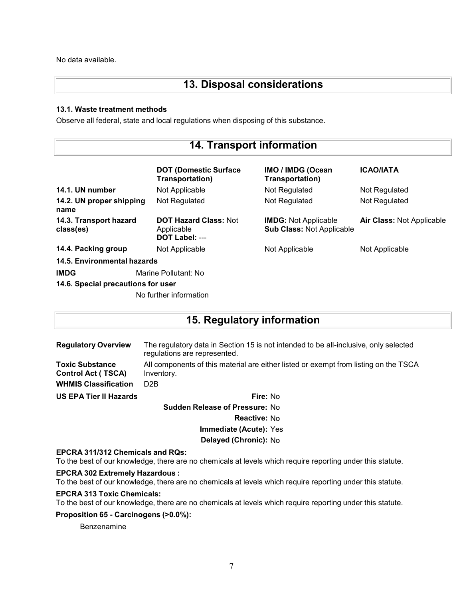No data available.

# **13. Disposal considerations**

### **13.1. Waste treatment methods**

Observe all federal, state and local regulations when disposing of this substance.

| <b>14. Transport information</b>    |                                                              |                                                                 |                           |
|-------------------------------------|--------------------------------------------------------------|-----------------------------------------------------------------|---------------------------|
|                                     | <b>DOT (Domestic Surface)</b><br>Transportation)             | IMO / IMDG (Ocean<br>Transportation)                            | <b>ICAO/IATA</b>          |
| 14.1. UN number                     | Not Applicable                                               | Not Regulated                                                   | Not Regulated             |
| 14.2. UN proper shipping<br>name    | Not Regulated                                                | Not Regulated                                                   | Not Regulated             |
| 14.3. Transport hazard<br>class(es) | <b>DOT Hazard Class: Not</b><br>Applicable<br>DOT Label: --- | <b>IMDG: Not Applicable</b><br><b>Sub Class: Not Applicable</b> | Air Class: Not Applicable |
| 14.4. Packing group                 | Not Applicable                                               | Not Applicable                                                  | Not Applicable            |
| 14.5. Environmental hazards         |                                                              |                                                                 |                           |
| <b>IMDG</b>                         | Marine Pollutant: No                                         |                                                                 |                           |
| 14.6. Special precautions for user  |                                                              |                                                                 |                           |
|                                     | No further information                                       |                                                                 |                           |

## **15. Regulatory information**

**Regulatory Overview** The regulatory data in Section 15 is not intended to be all-inclusive, only selected regulations are represented. **Toxic Substance Control Act ( TSCA)** All components of this material are either listed or exempt from listing on the TSCA Inventory. **WHMIS Classification** D2B **US EPA Tier II Hazards Fire:** No **Sudden Release of Pressure:** No

**Reactive:** No **Immediate (Acute):** Yes **Delayed (Chronic):** No

### **EPCRA 311/312 Chemicals and RQs:**

To the best of our knowledge, there are no chemicals at levels which require reporting under this statute.

### **EPCRA 302 Extremely Hazardous :**

To the best of our knowledge, there are no chemicals at levels which require reporting under this statute.

### **EPCRA 313 Toxic Chemicals:**

To the best of our knowledge, there are no chemicals at levels which require reporting under this statute.

### **Proposition 65 - Carcinogens (>0.0%):**

Benzenamine